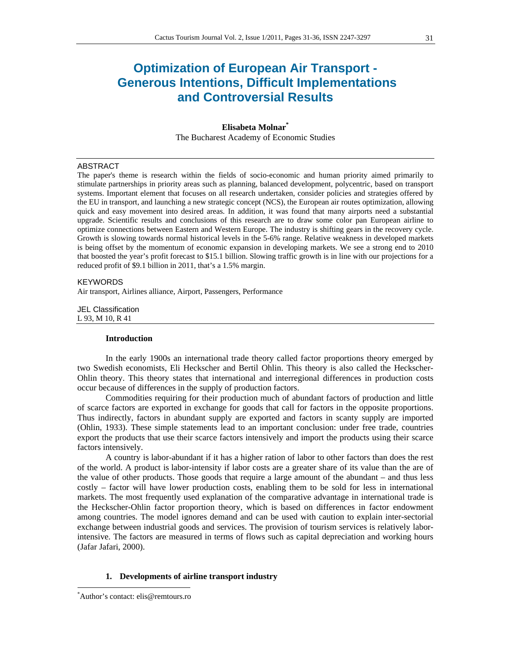# **Optimization of European Air Transport - Generous Intentions, Difficult Implementations and Controversial Results**

# **Elisabeta Molnar\*** The Bucharest Academy of Economic Studies

#### ABSTRACT

The paper's theme is research within the fields of socio-economic and human priority aimed primarily to stimulate partnerships in priority areas such as planning, balanced development, polycentric, based on transport systems. Important element that focuses on all research undertaken, consider policies and strategies offered by the EU in transport, and launching a new strategic concept (NCS), the European air routes optimization, allowing quick and easy movement into desired areas. In addition, it was found that many airports need a substantial upgrade. Scientific results and conclusions of this research are to draw some color pan European airline to optimize connections between Eastern and Western Europe. The industry is shifting gears in the recovery cycle. Growth is slowing towards normal historical levels in the 5-6% range. Relative weakness in developed markets is being offset by the momentum of economic expansion in developing markets. We see a strong end to 2010 that boosted the year's profit forecast to \$15.1 billion. Slowing traffic growth is in line with our projections for a reduced profit of \$9.1 billion in 2011, that's a 1.5% margin.

#### **KEYWORDS**

Air transport, Airlines alliance, Airport, Passengers, Performance

JEL Classification L 93, M 10, R 41

#### **Introduction**

In the early 1900s an international trade theory called factor proportions theory emerged by two Swedish economists, Eli Heckscher and Bertil Ohlin. This theory is also called the Heckscher-Ohlin theory. This theory states that international and interregional differences in production costs occur because of differences in the supply of production factors.

Commodities requiring for their production much of abundant factors of production and little of scarce factors are exported in exchange for goods that call for factors in the opposite proportions. Thus indirectly, factors in abundant supply are exported and factors in scanty supply are imported (Ohlin, 1933). These simple statements lead to an important conclusion: under free trade, countries export the products that use their scarce factors intensively and import the products using their scarce factors intensively.

A country is labor-abundant if it has a higher ration of labor to other factors than does the rest of the world. A product is labor-intensity if labor costs are a greater share of its value than the are of the value of other products. Those goods that require a large amount of the abundant – and thus less costly – factor will have lower production costs, enabling them to be sold for less in international markets. The most frequently used explanation of the comparative advantage in international trade is the Heckscher-Ohlin factor proportion theory, which is based on differences in factor endowment among countries. The model ignores demand and can be used with caution to explain inter-sectorial exchange between industrial goods and services. The provision of tourism services is relatively laborintensive. The factors are measured in terms of flows such as capital depreciation and working hours (Jafar Jafari, 2000).

## **1. Developments of airline transport industry**

 \* Author's contact: elis@remtours.ro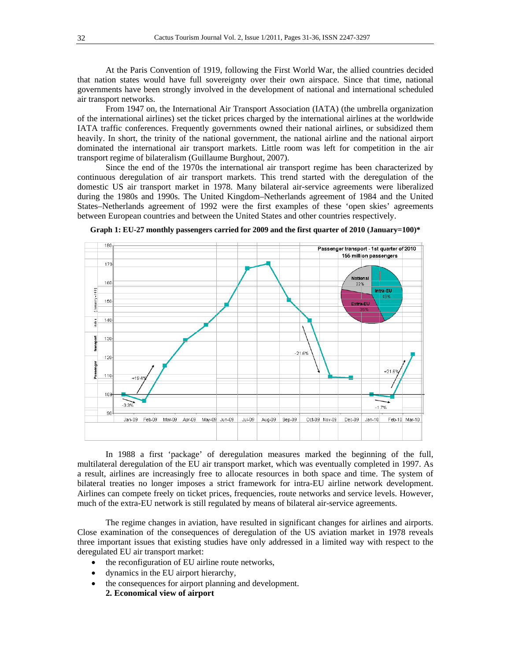At the Paris Convention of 1919, following the First World War, the allied countries decided that nation states would have full sovereignty over their own airspace. Since that time, national governments have been strongly involved in the development of national and international scheduled air transport networks.

From 1947 on, the International Air Transport Association (IATA) (the umbrella organization of the international airlines) set the ticket prices charged by the international airlines at the worldwide IATA traffic conferences. Frequently governments owned their national airlines, or subsidized them heavily. In short, the trinity of the national government, the national airline and the national airport dominated the international air transport markets. Little room was left for competition in the air transport regime of bilateralism (Guillaume Burghout, 2007).

Since the end of the 1970s the international air transport regime has been characterized by continuous deregulation of air transport markets. This trend started with the deregulation of the domestic US air transport market in 1978. Many bilateral air-service agreements were liberalized during the 1980s and 1990s. The United Kingdom–Netherlands agreement of 1984 and the United States–Netherlands agreement of 1992 were the first examples of these 'open skies' agreements between European countries and between the United States and other countries respectively.



**Graph 1: EU-27 monthly passengers carried for 2009 and the first quarter of 2010 (January=100)\***

In 1988 a first 'package' of deregulation measures marked the beginning of the full, multilateral deregulation of the EU air transport market, which was eventually completed in 1997. As a result, airlines are increasingly free to allocate resources in both space and time. The system of bilateral treaties no longer imposes a strict framework for intra-EU airline network development. Airlines can compete freely on ticket prices, frequencies, route networks and service levels. However, much of the extra-EU network is still regulated by means of bilateral air-service agreements.

The regime changes in aviation, have resulted in significant changes for airlines and airports. Close examination of the consequences of deregulation of the US aviation market in 1978 reveals three important issues that existing studies have only addressed in a limited way with respect to the deregulated EU air transport market:

- the reconfiguration of EU airline route networks,
- dynamics in the EU airport hierarchy,
- the consequences for airport planning and development. **2. Economical view of airport**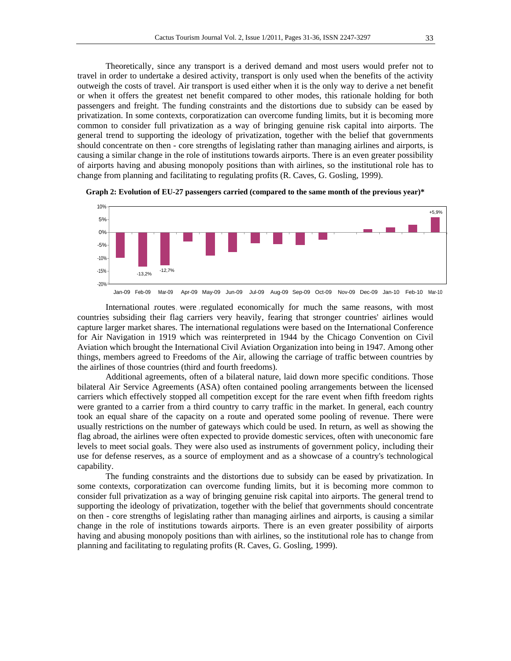Theoretically, since any transport is a derived demand and most users would prefer not to travel in order to undertake a desired activity, transport is only used when the benefits of the activity outweigh the costs of travel. Air transport is used either when it is the only way to derive a net benefit or when it offers the greatest net benefit compared to other modes, this rationale holding for both passengers and freight. The funding constraints and the distortions due to subsidy can be eased by privatization. In some contexts, corporatization can overcome funding limits, but it is becoming more common to consider full privatization as a way of bringing genuine risk capital into airports. The general trend to supporting the ideology of privatization, together with the belief that governments should concentrate on then - core strengths of legislating rather than managing airlines and airports, is causing a similar change in the role of institutions towards airports. There is an even greater possibility of airports having and abusing monopoly positions than with airlines, so the institutional role has to change from planning and facilitating to regulating profits (R. Caves, G. Gosling, 1999).





International routes were regulated economically for much the same reasons, with most countries subsiding their flag carriers very heavily, fearing that stronger countries' airlines would capture larger market shares. The international regulations were based on the International Conference for Air Navigation in 1919 which was reinterpreted in 1944 by the Chicago Convention on Civil Aviation which brought the International Civil Aviation Organization into being in 1947. Among other things, members agreed to Freedoms of the Air, allowing the carriage of traffic between countries by the airlines of those countries (third and fourth freedoms).

Additional agreements, often of a bilateral nature, laid down more specific conditions. Those bilateral Air Service Agreements (ASA) often contained pooling arrangements between the licensed carriers which effectively stopped all competition except for the rare event when fifth freedom rights were granted to a carrier from a third country to carry traffic in the market. In general, each country took an equal share of the capacity on a route and operated some pooling of revenue. There were usually restrictions on the number of gateways which could be used. In return, as well as showing the flag abroad, the airlines were often expected to provide domestic services, often with uneconomic fare levels to meet social goals. They were also used as instruments of government policy, including their use for defense reserves, as a source of employment and as a showcase of a country's technological capability.

The funding constraints and the distortions due to subsidy can be eased by privatization. In some contexts, corporatization can overcome funding limits, but it is becoming more common to consider full privatization as a way of bringing genuine risk capital into airports. The general trend to supporting the ideology of privatization, together with the belief that governments should concentrate on then - core strengths of legislating rather than managing airlines and airports, is causing a similar change in the role of institutions towards airports. There is an even greater possibility of airports having and abusing monopoly positions than with airlines, so the institutional role has to change from planning and facilitating to regulating profits (R. Caves, G. Gosling, 1999).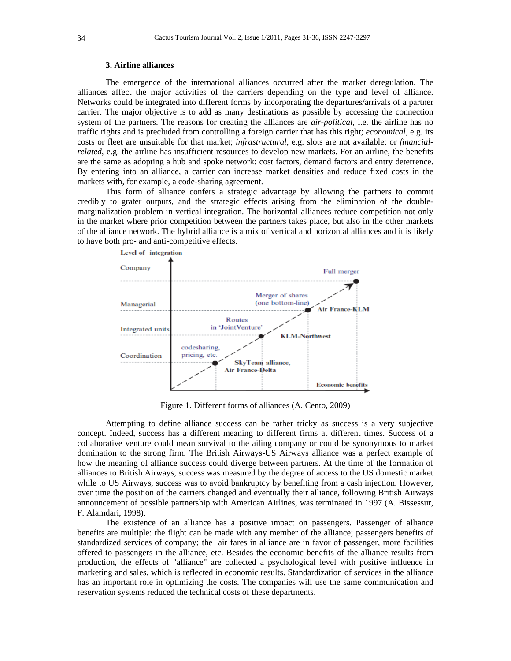## **3. Airline alliances**

The emergence of the international alliances occurred after the market deregulation. The alliances affect the major activities of the carriers depending on the type and level of alliance. Networks could be integrated into different forms by incorporating the departures/arrivals of a partner carrier. The major objective is to add as many destinations as possible by accessing the connection system of the partners. The reasons for creating the alliances are *air-political*, i.e. the airline has no traffic rights and is precluded from controlling a foreign carrier that has this right; *economical*, e.g. its costs or fleet are unsuitable for that market; *infrastructural*, e.g. slots are not available; or *financialrelated*, e.g. the airline has insufficient resources to develop new markets. For an airline, the benefits are the same as adopting a hub and spoke network: cost factors, demand factors and entry deterrence. By entering into an alliance, a carrier can increase market densities and reduce fixed costs in the markets with, for example, a code-sharing agreement.

This form of alliance confers a strategic advantage by allowing the partners to commit credibly to grater outputs, and the strategic effects arising from the elimination of the doublemarginalization problem in vertical integration. The horizontal alliances reduce competition not only in the market where prior competition between the partners takes place, but also in the other markets of the alliance network. The hybrid alliance is a mix of vertical and horizontal alliances and it is likely to have both pro- and anti-competitive effects.



Figure 1. Different forms of alliances (A. Cento, 2009)

Attempting to define alliance success can be rather tricky as success is a very subjective concept. Indeed, success has a different meaning to different firms at different times. Success of a collaborative venture could mean survival to the ailing company or could be synonymous to market domination to the strong firm. The British Airways-US Airways alliance was a perfect example of how the meaning of alliance success could diverge between partners. At the time of the formation of alliances to British Airways, success was measured by the degree of access to the US domestic market while to US Airways, success was to avoid bankruptcy by benefiting from a cash injection. However, over time the position of the carriers changed and eventually their alliance, following British Airways announcement of possible partnership with American Airlines, was terminated in 1997 (A. Bissessur, F. Alamdari, 1998).

The existence of an alliance has a positive impact on passengers. Passenger of alliance benefits are multiple: the flight can be made with any member of the alliance; passengers benefits of standardized services of company; the air fares in alliance are in favor of passenger, more facilities offered to passengers in the alliance, etc. Besides the economic benefits of the alliance results from production, the effects of "alliance" are collected a psychological level with positive influence in marketing and sales, which is reflected in economic results. Standardization of services in the alliance has an important role in optimizing the costs. The companies will use the same communication and reservation systems reduced the technical costs of these departments.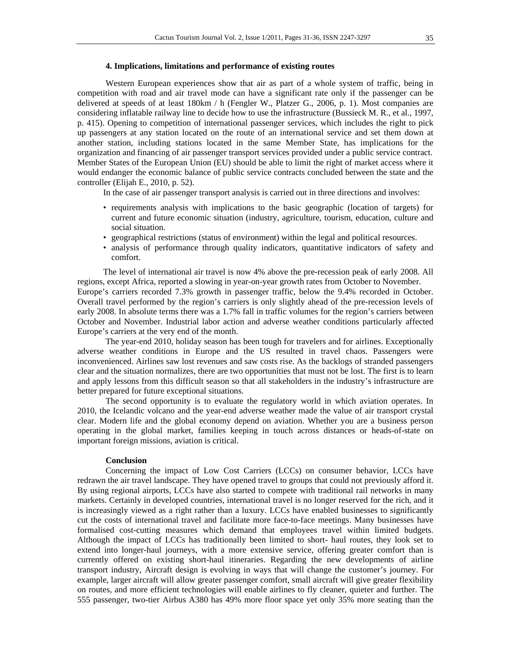#### **4. Implications, limitations and performance of existing routes**

Western European experiences show that air as part of a whole system of traffic, being in competition with road and air travel mode can have a significant rate only if the passenger can be delivered at speeds of at least 180km / h (Fengler W., Platzer G., 2006, p. 1). Most companies are considering inflatable railway line to decide how to use the infrastructure (Bussieck M. R., et al., 1997, p. 415). Opening to competition of international passenger services, which includes the right to pick up passengers at any station located on the route of an international service and set them down at another station, including stations located in the same Member State, has implications for the organization and financing of air passenger transport services provided under a public service contract. Member States of the European Union (EU) should be able to limit the right of market access where it would endanger the economic balance of public service contracts concluded between the state and the controller (Elijah E., 2010, p. 52).

In the case of air passenger transport analysis is carried out in three directions and involves:

- requirements analysis with implications to the basic geographic (location of targets) for current and future economic situation (industry, agriculture, tourism, education, culture and social situation.
- geographical restrictions (status of environment) within the legal and political resources.
- analysis of performance through quality indicators, quantitative indicators of safety and comfort.

The level of international air travel is now 4% above the pre-recession peak of early 2008. All regions, except Africa, reported a slowing in year-on-year growth rates from October to November. Europe's carriers recorded 7.3% growth in passenger traffic, below the 9.4% recorded in October. Overall travel performed by the region's carriers is only slightly ahead of the pre-recession levels of early 2008. In absolute terms there was a 1.7% fall in traffic volumes for the region's carriers between October and November. Industrial labor action and adverse weather conditions particularly affected Europe's carriers at the very end of the month.

The year-end 2010, holiday season has been tough for travelers and for airlines. Exceptionally adverse weather conditions in Europe and the US resulted in travel chaos. Passengers were inconvenienced. Airlines saw lost revenues and saw costs rise. As the backlogs of stranded passengers clear and the situation normalizes, there are two opportunities that must not be lost. The first is to learn and apply lessons from this difficult season so that all stakeholders in the industry's infrastructure are better prepared for future exceptional situations.

The second opportunity is to evaluate the regulatory world in which aviation operates. In 2010, the Icelandic volcano and the year-end adverse weather made the value of air transport crystal clear. Modern life and the global economy depend on aviation. Whether you are a business person operating in the global market, families keeping in touch across distances or heads-of-state on important foreign missions, aviation is critical.

## **Conclusion**

Concerning the impact of Low Cost Carriers (LCCs) on consumer behavior, LCCs have redrawn the air travel landscape. They have opened travel to groups that could not previously afford it. By using regional airports, LCCs have also started to compete with traditional rail networks in many markets. Certainly in developed countries, international travel is no longer reserved for the rich, and it is increasingly viewed as a right rather than a luxury. LCCs have enabled businesses to significantly cut the costs of international travel and facilitate more face-to-face meetings. Many businesses have formalised cost-cutting measures which demand that employees travel within limited budgets. Although the impact of LCCs has traditionally been limited to short- haul routes, they look set to extend into longer-haul journeys, with a more extensive service, offering greater comfort than is currently offered on existing short-haul itineraries. Regarding the new developments of airline transport industry, Aircraft design is evolving in ways that will change the customer's journey. For example, larger aircraft will allow greater passenger comfort, small aircraft will give greater flexibility on routes, and more efficient technologies will enable airlines to fly cleaner, quieter and further. The 555 passenger, two-tier Airbus A380 has 49% more floor space yet only 35% more seating than the